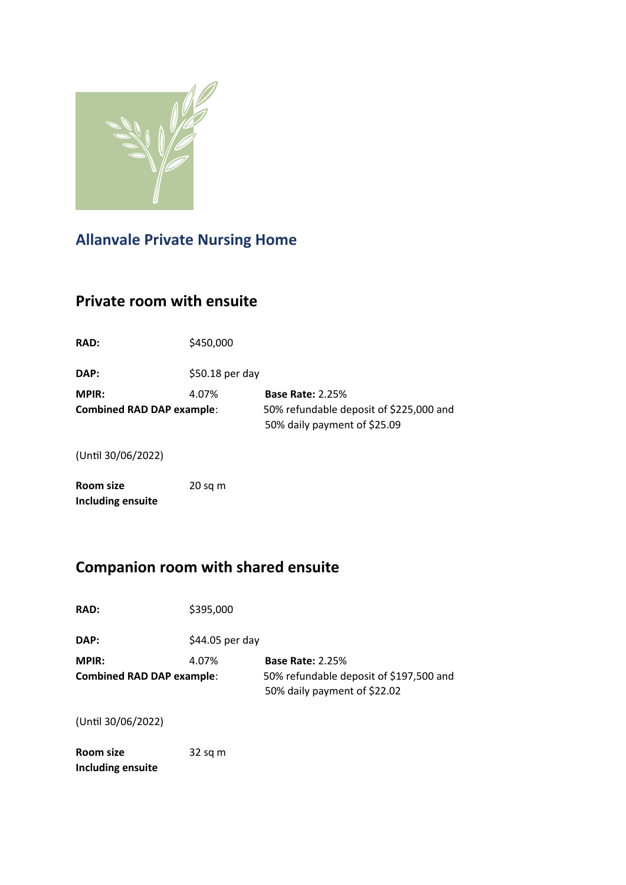

# **Allanvale Private Nursing Home**

## **Private room with ensuite**

| <b>RAD:</b>                                               | \$450,000        |                                                                    |
|-----------------------------------------------------------|------------------|--------------------------------------------------------------------|
| DAP:                                                      | $$50.18$ per day |                                                                    |
| <b>MPIR:</b><br>4.07%<br><b>Combined RAD DAP example:</b> |                  | <b>Base Rate: 2.25%</b><br>50% refundable deposit of \$225,000 and |
|                                                           |                  | 50% daily payment of \$25.09                                       |
| (Until 30/06/2022)                                        |                  |                                                                    |

**Room size** 20 sq m **Including ensuite**

# **Companion room with shared ensuite**

| <b>RAD:</b>                                      | \$395,000        |                                                                                                    |
|--------------------------------------------------|------------------|----------------------------------------------------------------------------------------------------|
| DAP:                                             | $$44.05$ per day |                                                                                                    |
| <b>MPIR:</b><br><b>Combined RAD DAP example:</b> | 4.07%            | <b>Base Rate: 2.25%</b><br>50% refundable deposit of \$197,500 and<br>50% daily payment of \$22.02 |
|                                                  |                  |                                                                                                    |

(Until 30/06/2022)

**Room size** 32 sq m **Including ensuite**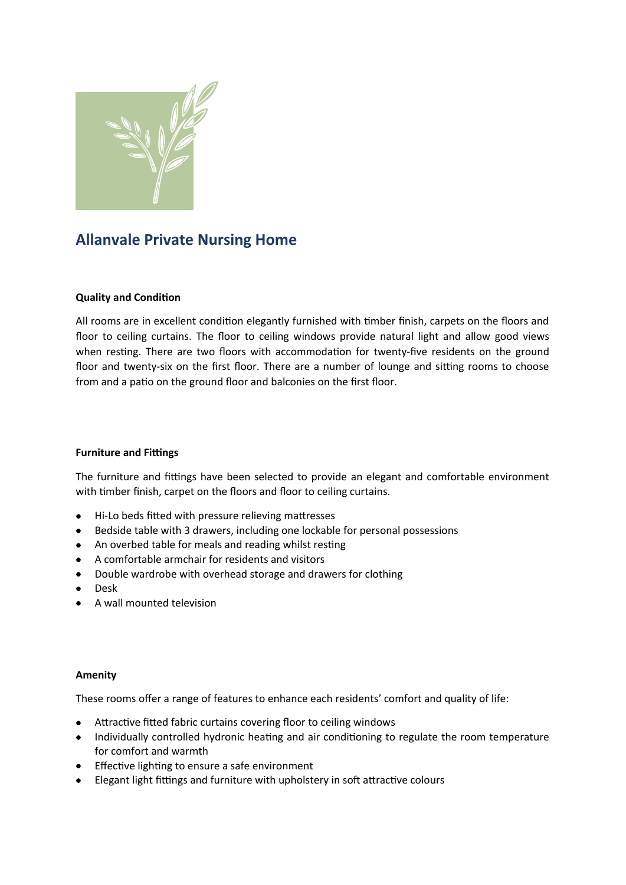

### **Allanvale Private Nursing Home**

#### **Quality and Condition**

All rooms are in excellent condition elegantly furnished with timber finish, carpets on the floors and floor to ceiling curtains. The floor to ceiling windows provide natural light and allow good views when resting. There are two floors with accommodation for twenty-five residents on the ground floor and twenty-six on the first floor. There are a number of lounge and sitting rooms to choose from and a patio on the ground floor and balconies on the first floor.

#### **Furniture and Fittings**

The furniture and fittings have been selected to provide an elegant and comfortable environment with timber finish, carpet on the floors and floor to ceiling curtains.

- Hi-Lo beds fitted with pressure relieving mattresses
- Bedside table with 3 drawers, including one lockable for personal possessions
- An overbed table for meals and reading whilst resting
- A comfortable armchair for residents and visitors
- Double wardrobe with overhead storage and drawers for clothing
- **•** Desk
- A wall mounted television

#### **Amenity**

These rooms offer a range of features to enhance each residents' comfort and quality of life:

- Attractive fitted fabric curtains covering floor to ceiling windows
- Individually controlled hydronic heating and air conditioning to regulate the room temperature for comfort and warmth
- **•** Effective lighting to ensure a safe environment
- Elegant light fittings and furniture with upholstery in soft attractive colours